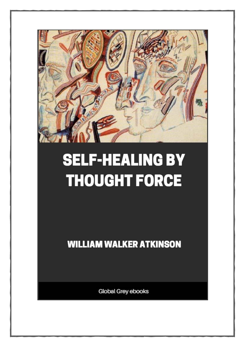

# **SELF-HEALING BY THOUGHT FORCE**

**WILLIAM WALKER ATKINSON** 

Global Grey ebooks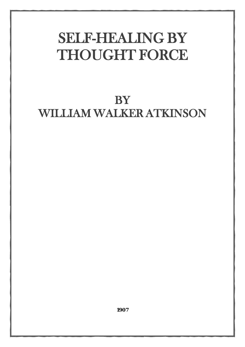## SELF-HEALING BY THOUGHT FORCE

### **BY** WILLIAM WALKER ATKINSON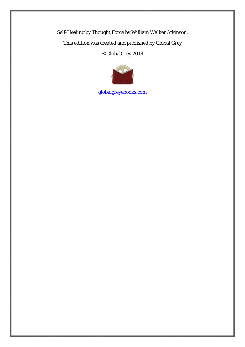Self-Healing by Thought Force by William Walker Atkinson. This edition was created and published by Global Grey ©GlobalGrey 2018



[globalgreyebooks.com](https://www.globalgreyebooks.com/)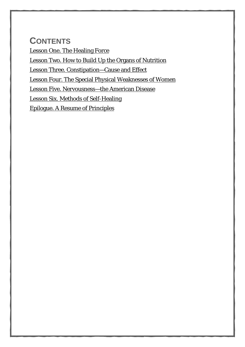#### **CONTENTS**

[Lesson One. The Healing Force](#page-4-0)

[Lesson Two. How to Build Up the Organs of Nutrition](#page-9-0)

[Lesson Three. Constipation—Cause and Effect](#page-13-0)

[Lesson Four. The Special Physical Weaknesses of Women](#page-18-0)

[Lesson Five. Nervousness—the American Disease](#page-21-0)

[Lesson Six. Methods of Self-Healing](#page-24-0)

[Epilogue. A Resume of Principles](#page-28-0)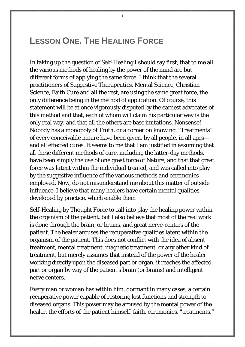#### <span id="page-4-0"></span>**LESSON ONE. THE HEALING FORCE**

In taking up the question of Self-Healing I should say first, that to me all the various methods of healing by the power of the mind are but different forms of applying the same force. I think that the several practitioners of Suggestive Therapeutics, Mental Science, Christian Science, Faith Cure and all the rest, are using the same great force, the only difference being in the method of application. Of course, this statement will be at once vigorously disputed by the earnest advocates of this method and that, each of whom will claim *his* particular way is the only real way, and that all the others are base imitations. Nonsense! Nobody has a monopoly of Truth, or a corner on knowing. "Treatments" of every conceivable nature have been given, by all people, in all ages and all effected cures. It seems to me that I am justified in assuming that all these different methods of cure, including the latter-day methods, have been simply the use of one great force of Nature, and that that great force *was latent within the individual treated,* and was called into play by the suggestive influence of the various methods and ceremonies employed. Now, do not misunderstand me about this matter of outside influence. I believe that many healers have certain mental qualities, developed by practice, which enable them

1

Self-Healing by Thought Force to call into play the healing power within the organism of the patient, but I also believe that most of the real work is done through the brain, or brains, and great nerve-centers of the patient. The healer arouses the recuperative qualities latent within the organism of the patient. This does not conflict with the idea of absent treatment, mental treatment, magnetic treatment, or any other kind of treatment, but merely assumes that instead of the power of the healer working directly upon the diseased part or organ, it reaches the affected part or organ by way of the patient's brain (or brains) and intelligent nerve centers.

Every man or woman has within him, dormant in many cases, a certain recuperative power capable of restoring lost functions and strength to diseased organs. This power may be aroused by the mental power of the healer, the efforts of the patient himself, faith, ceremonies, "treatments,"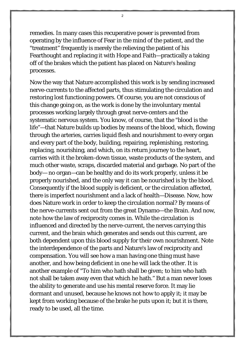remedies. In many cases this recuperative power is prevented from operating by the influence of Fear in the mind of the patient, and the "treatment" frequently is merely the relieving the patient of his Fearthought and replacing it with Hope and Faith—practically a taking off of the brakes which the patient has placed on Nature's healing processes.

Now the way that Nature accomplished this work is by sending increased nerve-currents to the affected parts, thus stimulating the circulation and restoring lost functioning powers. Of course, you are not conscious of this change going on, as the work is done by the involuntary mental processes working largely through great nerve-centers and the systematic nervous system. You know, of course, that the "blood is the life"—that Nature builds up bodies by means of the blood, which, flowing through the arteries, carries liquid flesh and nourishment to every organ and every part of the body, building, repairing, replenishing, restoring, replacing, nourishing, and which, on its return journey to the heart, carries with it the broken-down tissue, waste products of the system, and much other waste, scraps, discarded material and garbage. No part of the body— no organ—can be healthy and do its work properly, unless it be properly nourished, and the only way it can be nourished is by the blood. Consequently if the blood supply is deficient, or the circulation affected, there is imperfect nourishment and a lack of health—Disease. Now, how does Nature work in order to keep the circulation normal? By means of the nerve-currents sent out from the great Dynamo—the Brain. And now, note how the law of reciprocity comes in. While the circulation is influenced and directed by the nerve-current, the nerves carrying this current, and the brain which generates and sends out this current, are both dependent upon this blood supply for their own nourishment. Note the interdependence of the parts and Nature's law of reciprocity and compensation. You will see how a man having one thing must have another, and how being deficient in one he will lack the other. It is another example of "To him who hath shall be given; to him who hath not shall be taken away even that which he hath." But a man never loses the ability to generate and use his mental reserve force. It may lie dormant and unused, because he knows not how to apply it; it may be kept from working because of the brake he puts upon it; but it is there, ready to be used, all the time.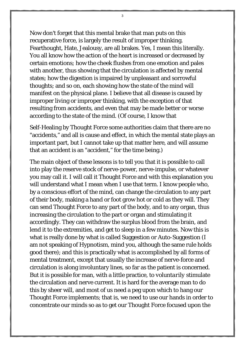Now don't forget that this mental brake that man puts on this recuperative force, is largely the result of improper thinking. Fearthought, Hate, Jealousy, are all brakes. Yes, I mean this literally. You all know how the action of the heart is increased or decreased by certain emotions; how the cheek flushes from one emotion and pales with another, thus showing that the circulation is affected by mental states; how the digestion is impaired by unpleasant and sorrowful thoughts; and so on, each showing how the state of the mind will manifest on the physical plane. I believe that all disease is caused by improper living or improper thinking, with the exception of that resulting from accidents, and even that may be made better or worse according to the state of the mind. (Of course, I know that

Self-Healing by Thought Force some authorities claim that there are no "accidents," and all is cause and effect, in which the mental state plays an important part, but I cannot take up that matter here, and will assume that an accident is an "accident," for the time being.)

The main object of these lessons is to tell you that it is possible to call into play the reserve stock of nerve-power, nerve-impulse, or whatever you may call it. I will call it Thought Force and with this explanation you will understand what I mean when I use that term. I know people who, by a conscious effort of the mind, can change the circulation to any part of their body, making a hand or foot grow hot or cold as they will. They can send Thought Force to any part of the body, and to any organ, thus increasing the circulation to the part or organ and stimulating it accordingly. They can withdraw the surplus blood from the brain, and lend it to the extremities, and get to sleep in a few minutes. Now this is what is really done by what is called Suggestion or Auto-Suggestion (I am not speaking of Hypnotism, mind you, although the same rule holds good there); and this is practically what is accomplished by all forms of mental treatment, except that usually the increase of nerve-force and circulation is along involuntary lines, so far as the patient is concerned. But it is possible for man, with a little practice, to *voluntarily* stimulate the circulation and nerve current. It is hard for the average man to do this by sheer will, and most of us need a peg upon which to hang our Thought Force implements; that is, we need to use our hands in order to concentrate our minds so as to get our Thought Force focused upon the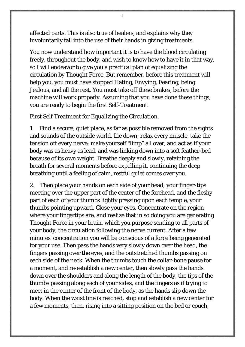affected parts. This is also true of healers, and explains why they involuntarily fall into the use of their hands in giving treatments.

You now understand how important it is to have the blood circulating freely, throughout the body, and wish to know how to have it in that way, so I will endeavor to give you a practical plan of equalizing the circulation by Thought Force. But remember, before this treatment will help you, you must have stopped Hating, Envying, Fearing, being Jealous, and all the rest. You must take off these brakes, before the machine will work properly. Assuming that you have done these things, you are ready to begin the first Self-Treatment.

First Self Treatment for Equalizing the Circulation.

1. Find a secure, quiet place, as far as possible removed from the sights and sounds of the outside world. Lie down; relax every muscle, take the tension off every nerve; make yourself "limp" all over, and act as if your body was as heavy as lead, and was linking down into a soft feather-bed because of its own weight. Breathe deeply and slowly, retaining the breath for several moments before expelling it, continuing the deep breathing until a feeling of calm, restful quiet comes over you.

2. Then place your hands on each side of your head; your finger-tips meeting over the upper part of the center of the forehead, and the fleshy part of each of your thumbs lightly pressing upon each temple, your thumbs pointing upward. Close your eyes. Concentrate on the region where your fingertips are, and realize that in so doing you are generating Thought Force in your brain, which you purpose sending to all parts of your body, the circulation following the nerve current. After a few minutes' concentration you will be conscious of a force being generated for your use. Then pass the hands very slowly down over the head, the fingers passing over the eyes, and the outstretched thumbs passing on each side of the neck. When the thumbs touch the collar-bone pause for a moment, and re-establish a new center, then slowly pass the hands down over the shoulders and along the length of the body, the tips of the thumbs passing along each of your sides, and the fingers as if trying to meet in the center of the front of the body, as the hands slip down the body. When the waist line is reached, stop and establish a new center for a few moments, then, rising into a sitting position on the bed or couch,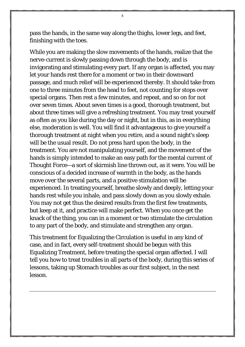pass the hands, in the same way along the thighs, lower legs, and feet, finishing with the toes.

While you are making the slow movements of the hands, realize that the nerve-current is slowly passing down through the body, and is invigorating and stimulating every part. If any organ is affected, you may let your hands rest there for a moment or two in their downward passage, and much relief will be experienced thereby. It should take from one to three minutes from the head to feet, not counting for stops over special organs. Then rest a few minutes, and repeat, and so on for not over seven times. About seven times is a good, thorough treatment, but about three times will give a refreshing treatment. You may treat yourself as often as you like during the day or night, but in this, as in everything else, moderation is well. You will find it advantageous to give yourself a thorough treatment at night when you retire, and a sound night's sleep will be the usual result. Do not press hard upon the body, in the treatment. You are not manipulating yourself, and the movement of the hands is simply intended to make an easy path for the mental current of Thought Force—a sort of skirmish line thrown out, as it were. You will be conscious of a decided increase of warmth in the body, as the hands move over the several parts, and a positive stimulation will be experienced. In treating yourself, breathe slowly and deeply, letting your hands rest while you inhale, and pass slowly down as you slowly exhale. You may not get thus the desired results from the first few treatments, but keep at it, and practice will make perfect. When you once get the knack of the thing, you can in a moment or two stimulate the circulation to any part of the body, and stimulate and strengthen any organ.

This treatment for Equalizing the Circulation is useful in any kind of case, and in fact, every self-treatment should be begun with this Equalizing Treatment, before treating the special organ affected. I will tell you how to treat troubles in all parts of the body, during this series of lessons, taking up Stomach troubles as our first subject, in the next lesson.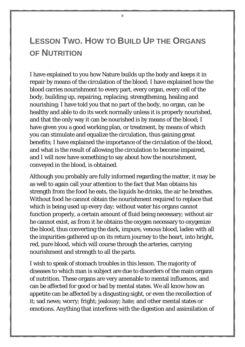#### <span id="page-9-0"></span>**LESSON TWO. HOW TO BUILD UP THE ORGANS OF NUTRITION**

I have explained to you how Nature builds up the body and keeps it in repair by means of the circulation of the blood; I have explained how the blood carries nourishment to every part, every organ, every cell of the body, building up, repairing, replacing, strengthening, healing and nourishing; I have told you that no part of the body, no organ, can be healthy and able to do its work normally unless it is properly nourished, and that the only way it can be nourished is by means of the blood; I have given you a good working plan, or treatment, by means of which you can stimulate and equalize the circulation, thus gaining great benefits; I have explained the importance of the circulation of the blood, and what is the result of allowing the circulation to become impaired, and I will now have something to say about how the nourishment, conveyed in the blood, is obtained.

Although you probably are fully informed regarding the matter, it may be as well to again call your attention to the fact that Man obtains his strength from the food he eats, the liquids he drinks, the air he breathes. Without food he cannot obtain the nourishment required to replace that which is being used up every day; without water his organs cannot function properly, a certain amount of fluid being necessary; without air he cannot exist, as from it he obtains the oxygen necessary to oxygenize the blood, thus converting the dark, impure, venous blood, laden with all the impurities gathered up on its return journey to the heart, into bright, red, pure blood, which will course through the arteries, carrying nourishment and strength to all the parts.

I wish to speak of stomach troubles in this lesson. The majority of diseases to which man is subject are due to disorders of the main organs of nutrition. These organs are very amenable to mental influences, and can be affected for good or bad by mental states. We all know how an appetite can be affected by a disgusting sight, or even the recollection of it; sad news; worry; fright; jealousy; hate; and other mental states or emotions. Anything that interferes with the digestion and assimilation of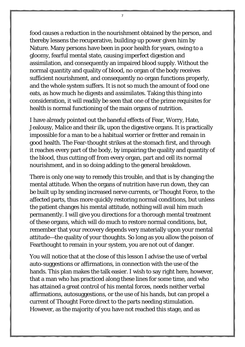food causes a reduction in the nourishment obtained by the person, and thereby lessens the recuperative, building-up power given him by Nature. Many persons have been in poor health for years, owing to a gloomy, fearful mental state, causing imperfect digestion and assimilation, and consequently an impaired blood supply. Without the normal quantity and quality of blood, no organ of the body receives sufficient nourishment, and consequently no organ functions properly, and the whole system suffers. It is not so much the amount of food one eats, as how much he *digests* and *assimilates.* Taking this thing into consideration, it will readily be seen that one of the prime requisites for health is normal functioning of the main organs of nutrition.

I have already pointed out the baneful effects of Fear, Worry, Hate, Jealousy, Malice and their ilk, upon the digestive organs. It is practically impossible for a man to be a habitual worrier or fretter and remain in good health. The Fear-thought strikes at the stomach first, and through it reaches every part of the body, by impairing the quality and quantity of the blood, thus cutting off from every organ, part and cell its normal nourishment, and in so doing adding to the general breakdown.

There is only one way to remedy this trouble, and that is by changing the mental attitude. When the organs of nutrition have run down, they can be built up by sending increased nerve currents, or Thought Force, to the affected parts, thus more quickly restoring normal conditions, but unless the patient changes his mental attitude, nothing will avail him much permanently. I will give you directions for a thorough mental treatment of these organs, which will do much to restore normal conditions, but, remember that your recovery depends very materially upon your mental attitude—the quality of your thoughts. So long as you allow the poison of Fearthought to remain in your system, you are not out of danger.

You will notice that at the close of this lesson I advise the use of verbal auto-suggestions or affirmations, in connection with the use of the hands. This plan makes the talk easier. I wish to say right here, however, that a man who has practiced along these lines for some time, and who has attained a great control of his mental forces, needs neither verbal affirmations, autosuggestions, or the use of his hands, but can propel a current of Thought Force direct to the parts needing stimulation. However, as the majority of you have not reached this stage, and as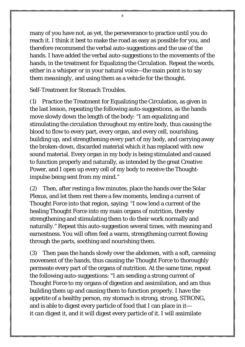many of you have not, as yet, the perseverance to practice until you do reach it. I think it best to make the road as easy as possible for you, and therefore recommend the verbal auto-suggestions and the use of the hands. I have added the verbal auto-suggestions to the movements of the hands, in the treatment for Equalizing the Circulation. Repeat the words, either in a whisper or in your natural voice—the main point is to say them *meaningly,* and using them as a vehicle for the thought.

Self-Treatment for Stomach Troubles.

(1) Practice the Treatment for Equalizing the Circulation, as given in the last lesson, repeating the following auto-suggestions, as the hands move slowly down the length of the body: "I am equalizing and stimulating the circulation throughout my entire body, thus causing the blood to flow to every part, every organ, and every cell, nourishing, building up, and strengthening every part of my body, and carrying away the broken-down, discarded material which it has replaced with new sound material. Every organ in my body is being stimulated and caused to function properly and naturally, as intended by the great Creative Power, and I open up every cell of my body to receive the Thoughtimpulse being sent from my mind."

(2) Then, after resting a few minutes, place the hands over the Solar Plexus, and let them rest there a few moments, lending a current of Thought Force into that region, saying: "I now lend a current of the healing Thought Force into my main organs of nutrition, thereby strengthening and stimulating them to do their work normally and naturally." Repeat this auto-suggestion several times, with meaning and earnestness. You will often feel a warm, strengthening current flowing through the parts, soothing and nourishing them.

(3) Then pass the hands slowly over the abdomen, with a soft, caressing movement of the hands, thus causing the Thought Force to thoroughly permeate every part of the organs of nutrition. At the same time, repeat the following auto-suggestions: "I am sending a strong current of Thought Force to my organs of digestion and assimilation, and am thus building them up and causing them to function properly. I have the appetite of a healthy person, my stomach is strong, *strong,* STRONG, and is able to digest every particle of food that I can place in it it *can* digest it, and it *will* digest every particle of it. I will assimilate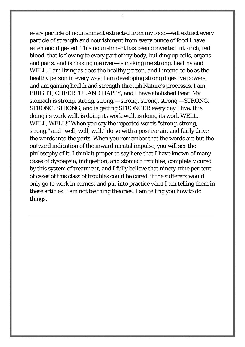every particle of nourishment extracted from my food—will extract every particle of strength and nourishment from every ounce of food I have eaten and digested. This nourishment has been converted into rich, red blood, that is flowing to every part of my body, building up cells, organs and parts, and is making me over—is making me strong, healthy and WELL. I am living as does the healthy person, and I intend to be as the healthy person in every way. I am developing strong digestive powers, and am gaining health and strength through Nature's processes. I am BRIGHT, CHEERFUL AND HAPPY, and I have abolished Fear. My stomach is strong, strong, strong,— *strong, strong, strong,*—STRONG, STRONG, STRONG, and is getting STRONGER every day I live. It is doing its work well, is doing its work *well,* is doing its work WELL, WELL, WELL!" When you say the repeated words "strong, strong, strong," and "well, well, well," do so with a positive air, and fairly drive the words into the parts. When you remember that the words are but the outward indication of the inward mental impulse, you will see the philosophy of it. I think it proper to say here that I have known of many cases of dyspepsia, indigestion, and stomach troubles, completely cured by this system of treatment, and I fully believe that ninety-nine per cent of cases of this class of troubles could be cured, if the sufferers would only go to work in earnest and put into practice what I am telling them in these articles. I am not teaching theories, I am telling you how to do things.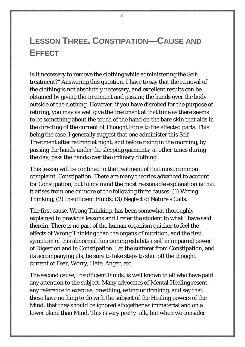#### <span id="page-13-0"></span>**LESSON THREE. CONSTIPATION—CAUSE AND EFFECT**

Is it necessary to remove the clothing while administering the Selftreatment?" Answering this question, I have to say that the removal of the clothing is not absolutely necessary, and excellent results can be obtained by giving the treatment and passing the hands over the body outside of the clothing. However, if you have disrobed for the purpose of retiring, you may as well give the treatment at that time as there seems to be something about the touch of the hand on the bare skin that aids in the directing of the current of Thought Force to the affected parts. This being the case, I generally suggest that one administer this Self Treatment after retiring at night, and before rising in the morning, by passing the hands under the sleeping garments; at other times during the day, pass the hands over the ordinary clothing.

This lesson will be confined to the treatment of that most common complaint, Constipation. There are many theories advanced to account for Constipation, but to my mind the most reasonable explanation is that it arises from one or more of the following three causes: (1) Wrong Thinking; (2) Insufficient Fluids; (3) Neglect of Nature's Calls.

The first cause, Wrong Thinking, has been somewhat thoroughly explained in previous lessons and I refer the student to what I have said therein. There is no part of the human organism quicker to feel the effects of Wrong Thinking than the organs of nutrition, and the first symptom of this abnormal functioning exhibits itself in impaired power of Digestion and in Constipation. Let the sufferer from Constipation, and its accompanying ills, be sure to take steps to shut off the thought current of Fear, Worry, Hate, Anger, etc.

The second cause, Insufficient Fluids, is well known to all who have paid any attention to the subject. Many advocates of Mental Healing resent any reference to exercise, breathing, eating or drinking, and say that these have nothing to do with the subject of the Healing powers of the Mind; that they should be ignored altogether as immaterial and on a lower plane than Mind. This is very pretty talk, but when we consider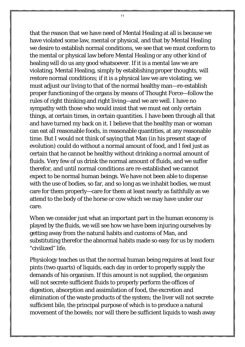that the reason that we have need of Mental Healing at all is because we have violated some law, mental or physical, and that by Mental Healing we desire to establish normal conditions, we see that we must conform to the mental or physical law before Mental Healing or any other kind of healing will do us any good whatsoever. If it is a mental law we are violating, Mental Healing, simply by establishing proper thoughts, will restore normal conditions; if it is a physical law we are violating, we must adjust our living to that of the normal healthy man—re-establish proper functioning of the organs by means of Thought Force—follow the rules of right thinking and right living—and we are well. I have no sympathy with those who would insist that we must eat only certain things, at certain times, in certain quantities. I have been through all that and have turned my back on it. I believe that the healthy man or woman can eat all reasonable foods, in reasonable quantities, at any reasonable time. But I would not think of saying that Man (in his present stage of evolution) could do without a normal amount of food, and I feel just as certain that he cannot be healthy without drinking a normal amount of fluids. Very few of us drink the normal amount of fluids, and we suffer therefor, and until normal conditions are re-established we cannot expect to be normal human beings. We have not been able to dispense with the use of bodies, so far, and so long as we inhabit bodies, we must care for them properly—care for them at least nearly as faithfully as we attend to the body of the horse or cow which we may have under our care.

When we consider just what an important part in the human economy is played by the fluids, we will see how we have been injuring ourselves by getting away from the natural habits and customs of Man, and substituting therefor the abnormal habits made so easy for us by modern "civilized" life.

Physiology teaches us that the normal human being requires at least four pints (two quarts) of liquids, each day in order to properly supply the demands of his organism. If this amount is not supplied, the organism will not secrete sufficient fluids to properly perform the offices of digestion, absorption and assimilation of food, the excretion and elimination of the waste products of the system; the liver will not secrete sufficient bile, the principal purpose of which is to produce a natural movement of the bowels; nor will there be sufficient liquids to wash away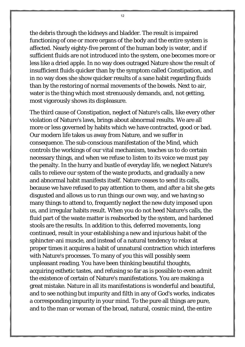the debris through the kidneys and bladder. The result is impaired functioning of one or more organs of the body and the entire system is affected. Nearly eighty-five percent of the human body is water, and if sufficient fluids are not introduced into the system, one becomes more or less like a dried apple. In no way does outraged Nature show the result of insufficient fluids quicker than by the symptom called Constipation, and in no way does she show quicker results of a sane habit regarding fluids than by the restoring of normal movements of the bowels. Next to air, water is the thing which most strenuously demands, and, not getting, most vigorously shows its displeasure.

The third cause of Constipation, neglect of Nature's calls, like every other violation of Nature's laws, brings about abnormal results. We are all more or less governed by habits which we have contracted, good or bad. Our modern life takes us away from Nature, and we suffer in consequence. The sub-conscious manifestation of the Mind, which controls the workings of our vital mechanism, teaches us to do certain necessary things, and when we refuse to listen to its voice we must pay the penalty. In the hurry and bustle of everyday life, we neglect Nature's calls to relieve our system of the waste products, and gradually a new and abnormal habit manifests itself. Nature ceases to send its calls, because we have refused to pay attention to them, and after a bit she gets disgusted and allows us to run things our own way, and we having so many things to attend to, frequently neglect the new duty imposed upon us, and irregular habits result. When you do not heed Nature's calls, the fluid part of the waste matter is reabsorbed by the system, and hardened stools are the results. In addition to this, deferred movements, long continued, result in your establishing a new and injurious habit of the sphincter-ani muscle, and instead of a natural tendency to relax at proper times it acquires a habit of unnatural contraction which interferes with Nature's processes. To many of you this will possibly seem unpleasant reading. You have been thinking beautiful thoughts, acquiring esthetic tastes, and refusing so far as is possible to even admit the existence of certain of Nature's manifestations. You are making a great mistake. Nature in all its manifestations is wonderful and beautiful, and to see nothing but impurity and filth in any of God's works, indicates a corresponding impurity in your mind. To the pure all things are pure, and to the man or woman of the broad, natural, cosmic mind, the entire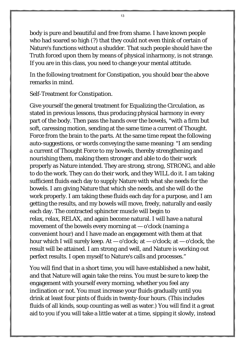body is pure and beautiful and free from shame. I have known people who had soared so high (?) that they could not even think of certain of Nature's functions without a shudder. That such people should have the Truth forced upon them by means of physical inharmony, is not strange. If you are in this class, you need to change your mental attitude.

In the following treatment for Constipation, you should bear the above remarks in mind.

Self-Treatment for Constipation.

Give yourself the general treatment for Equalizing the Circulation, as stated in previous lessons, thus producing physical harmony in every part of the body. Then pass the hands over the bowels, "with a firm but soft, caressing motion, sending at the same time a current of Thought. Force from the brain to the parts. At the same time repeat the following auto-suggestions, or words conveying the same meaning: "I am sending a current of Thought Force to my bowels, thereby strengthening and nourishing them, making them stronger and able to do their work properly as Nature intended. They are strong, *strong,* STRONG, and able to do the work. They *can* do their work, and they WILL do it. I am taking sufficient fluids each day to supply Nature with what she needs for the bowels. I am giving Nature that which she needs, and she will do the work properly. I am taking these fluids each day for a purpose, and I am getting the results, and my bowels will move, freely, naturally and easily each day. The contracted sphincter muscle will begin to relax, *relax,* RELAX, and again become natural. I will have a natural movement of the bowels every morning at — o'clock (naming a convenient hour) and I have made an engagement with them at that hour which I will surely keep. At  $-$  o'clock; at  $-$  o'clock; at  $-$  o'clock, the result will be attained. I am strong and well, and Nature is working out perfect results. I open myself to Nature's calls and processes."

You will find that in a short time, you will have established a new habit, and that Nature will again take the reins. You must be sure to keep the engagement with yourself every morning, whether you feel any inclination or not. You must increase your fluids gradually until you drink at least four pints of fluids in twenty-four hours. (This includes fluids of all kinds, soup counting as well as water.) You will find it a great aid to you if you will take a little water at a time, sipping it slowly, instead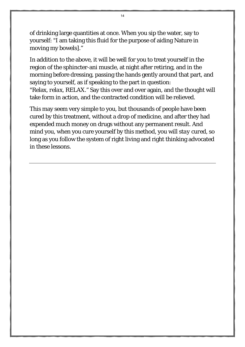of drinking large quantities at once. When you sip the water, say to yourself: "I am taking this fluid for the purpose of aiding Nature in moving my bowels]."

In addition to the above, it will be well for you to treat yourself in the region of the sphincter-ani muscle, at night after retiring, and in the morning before dressing, passing the hands gently around that part, and saying to yourself, as if speaking to the part in question: "Relax, *relax,* RELAX." Say this over and over again, and the thought will take form in action, and the contracted condition will be relieved.

This may seem very simple to you, but thousands of people have been cured by this treatment, without a drop of medicine, and after they had expended much money on drugs without any permanent result. And mind you, when you cure yourself by this method, you will *stay cured,* so long as you follow the system of right living and right thinking advocated in these lessons.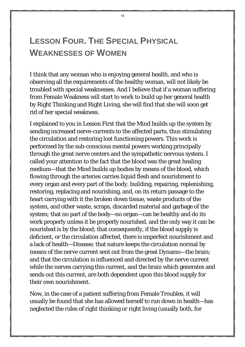#### <span id="page-18-0"></span>**LESSON FOUR. THE SPECIAL PHYSICAL WEAKNESSES OF WOMEN**

I think that any woman who is enjoying general health, and who is observing all the requirements of the healthy woman, will not likely be troubled with special weaknesses. And I believe that if a woman suffering from Female Weakness will start to work to build up her general health by Right Thinking and Right Living, she will find that she will soon get rid of her special weakness.

I explained to you in Lesson First that the Mind builds up the system by sending increased nerve-currents to the affected parts, thus stimulating the circulation and restoring lost functioning powers. This work is performed by the sub-conscious mental powers working principally through the great nerve centers and the sympathetic nervous system. I called your attention to the fact that the blood was the great healing medium—that the Mind builds up bodies by means of the blood, which flowing through the arteries carries liquid flesh and nourishment to every organ and every part of the body. building, repairing, replenishing, restoring, replacing and nourishing, and, on its return passage to the heart carrying with it the broken down tissue, waste products of the system, and other waste, scraps, discarded material and garbage of the system; that no part of the body—no organ—can be healthy and do its work properly unless it be properly nourished, and the only way it can be nourished is by the blood; that consequently, if the blood supply is deficient, or the circulation affected, there is imperfect nourishment and a lack of health—Disease; that nature keeps the circulation normal by means of the nerve current sent out from the great Dynamo—the brain; and that the circulation is influenced and directed by the nerve current while the nerves carrying this current, and the brain which generates and sends out this current, are both dependent upon this blood supply for their own nourishment.

Now, in the case of a patient suffering from Female Troubles, it will usually be found that she has allowed herself to run down in health—has neglected the rules of right thinking or right living (usually both, for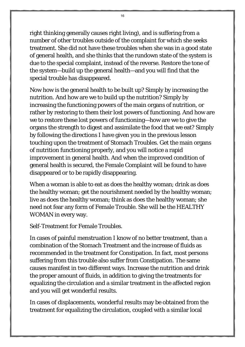right thinking generally causes right living), and is suffering from a number of other troubles outside of the complaint for which she seeks treatment. She did not have these troubles when she was in a good state of general health, and she thinks that the rundown state of the system is due to the special complaint, instead of the reverse. Restore the tone of the system—build up the general health—and you will find that the special trouble has disappeared.

Now how is the general health to be built up? Simply by increasing the nutrition. And how are we to build up the nutrition? Simply by increasing the functioning powers of the main organs of nutrition, or rather by restoring to them their lost powers of functioning. And how are we to restore these lost powers of functioning—how are we to give the organs the strength to digest and assimilate the food that we eat? Simply by following the directions I have given you in the previous lesson touching upon the treatment of Stomach Troubles. Get the main organs of nutrition functioning properly, and you will notice a rapid improvement in general health. And when the improved condition of general health is secured, the Female Complaint will be found to have disappeared or to be rapidly disappearing.

When a woman is able to eat as does the healthy woman; drink as does the healthy woman; get the nourishment needed by the healthy woman; live as does the healthy woman; think as does the healthy woman; she need not fear any form of Female Trouble. She will be the HEALTHY WOMAN in every way.

Self-Treatment for Female Troubles.

In cases of painful menstruation I know of no better treatment, than a combination of the Stomach Treatment and the increase of fluids as recommended in the treatment for Constipation. In fact, most persons suffering from this trouble also suffer from Constipation. The same causes manifest in two different ways. Increase the nutrition and drink the proper amount of fluids, in addition to giving the treatments for equalizing the circulation and a similar treatment in the affected region and you will get wonderful results.

In cases of displacements, wonderful results may be obtained from the treatment for equalizing the circulation, coupled with a similar local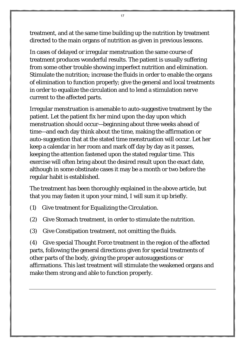treatment, and at the same time building up the nutrition by treatment directed to the main organs of nutrition as given in previous lessons.

In cases of delayed or irregular menstruation the same course of treatment produces wonderful results. The patient is usually suffering from some other trouble showing imperfect nutrition and elimination. Stimulate the nutrition; increase the fluids in order to enable the organs of elimination to function properly; give the general and local treatments in order to equalize the circulation and to lend a stimulation nerve current to the affected parts.

Irregular menstruation is amenable to auto-suggestive treatment by the patient. Let the patient fix her mind upon the day upon which menstruation should occur—beginning about three weeks ahead of time—and each day think about the time, making the affirmation or auto-suggestion that at the stated time menstruation will occur. Let her keep a calendar in her room and mark off day by day as it passes, keeping the attention fastened upon the stated regular time. This exercise will often bring about the desired result upon the exact date, although in some obstinate cases it may be a month or two before the regular habit is established.

The treatment has been thoroughly explained in the above article, but that you may fasten it upon your mind, I will sum it up briefly.

- (1) Give treatment for Equalizing the Circulation.
- (2) Give Stomach treatment, in order to stimulate the nutrition.
- (3) Give Constipation treatment, not omitting the fluids.

(4) Give special Thought Force treatment in the region of the affected parts, following the general directions given for special treatments of other parts of the body, giving the proper autosuggestions or affirmations. This last treatment will stimulate the weakened organs and make them strong and able to function properly.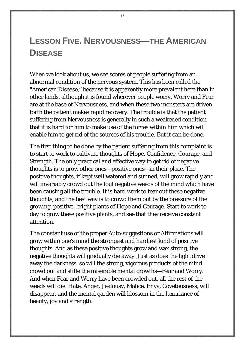#### <span id="page-21-0"></span>**LESSON FIVE. NERVOUSNESS—THE AMERICAN DISEASE**

When we look about us, we see scores of people suffering from an abnormal condition of the nervous system. This has been called the "American Disease," because it is apparently more prevalent here than in other lands, although it is found wherever people worry. Worry and Fear are at the base of Nervousness, and when these two monsters are driven forth the patient makes rapid recovery. The trouble is that the patient suffering from Nervousness is generally in such a weakened condition that it is hard for him to make use of the forces within him which will enable him to get rid of the sources of his trouble. But it *can* be done.

The first thing to be done by the patient suffering from this complaint is to start to work to cultivate thoughts of Hope, Confidence, Courage, and Strength. The only practical and effective way to get rid of negative thoughts is to grow other ones—positive ones—in their place. The positive thoughts, if kept well watered and sunned, will grow rapidly and will invariably crowd out the foul negative weeds of the mind which have been causing all the trouble. It is hard work to tear out these negative thoughts, and the best way is to crowd them out by the pressure of the growing, positive, bright plants of Hope and Courage. Start to work today to grow these positive plants, and see that they receive constant attention.

The constant use of the proper Auto-suggestions or Affirmations will grow within one's mind the strongest and hardiest kind of positive thoughts. And as these positive thoughts grow and wax strong, the negative thoughts will gradually die away. Just as does the light drive away the darkness, so will the strong, vigorous products of the mind crowd out and stifle the miserable mental growths—Fear and Worry. And when Fear and Worry have been crowded out, all the rest of the weeds will die. Hate, Anger. Jealousy, Malice, Envy, Covetousness, will disappear, and the mental garden will blossom in the luxuriance of beauty, joy and strength.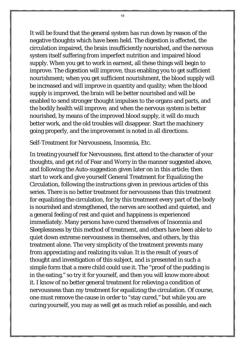It will be found that the general system has run down by reason of the negative thoughts which have been held. The digestion is affected, the circulation impaired, the brain insufficiently nourished, and the nervous system itself suffering from imperfect nutrition and impaired blood supply. When you get to work in earnest, all these things will begin to improve. The digestion will improve, thus enabling you to get sufficient nourishment; when you get sufficient nourishment, the blood supply will be increased and will improve in quantity and quality; when the blood supply is improved, the brain will be better nourished and will be enabled to send stronger thought impulses to the organs and parts, and the bodily health will improve; and when the nervous system is better nourished, by means of the improved blood supply, it will do much better work, and the old troubles will disappear. Start the machinery going properly, and the improvement is noted in all directions.

Self-Treatment for Nervousness, Insomnia, Etc.

In treating yourself for Nervousness, first attend to the character of your thoughts, and get rid of Fear and Worry in the manner suggested above, and following the Auto-suggestion given later on in this article; then start to work and give yourself General Treatment for Equalizing the Circulation, following the instructions given in previous articles of this series. There is no better treatment for nervousness than this treatment for equalizing the circulation, for by this treatment every part of the body is nourished and strengthened, the nerves are soothed and quieted, and a general feeling of rest and quiet and happiness is experienced immediately. Many persons have cured themselves of Insomnia and Sleeplessness by this method of treatment, and others have been able to quiet down extreme nervousness in themselves, and others, by this treatment alone. The very simplicity of the treatment prevents many from appreciating and realizing its value. It is the result of years of thought and investigation of this subject, and is presented in such a simple form that a mere child could use it. The "proof of the pudding is in the eating," so try it for yourself, and then you will know more about it. I know of no better general treatment for relieving a condition of nervousness than my treatment for equalizing the circulation. Of course, one must remove the cause in order to "stay cured," but while you are curing yourself, you may as well get as much relief as possible, and each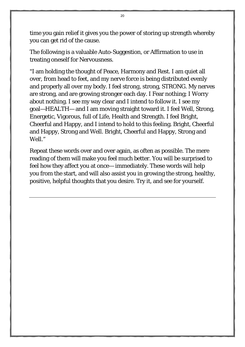time you gain relief it gives you the power of storing up strength whereby you can get rid of the cause.

The following is a valuable Auto-Suggestion, or Affirmation to use in treating oneself for Nervousness.

"I am holding the thought of Peace, Harmony and Rest. I am quiet all over, from head to feet, and my nerve force is being distributed evenly and properly all over my body. I feel *strong,* strong, STRONG. My nerves are strong, and are growing stronger each day. I Fear nothing; I Worry about nothing. I see my way clear and I intend to follow it. I see my goal—HEALTH— and I am moving straight toward it. I feel Well, Strong, Energetic, Vigorous, full of Life, Health and Strength. I feel Bright, Cheerful and Happy, and I intend to hold to this feeling. Bright, Cheerful and Happy, Strong and Well. Bright, Cheerful and Happy, Strong and Well."

Repeat these words over and over again, as often as possible. The mere reading of them will make you feel much better. You will be surprised to feel how they affect you at once— immediately. These words will help you from the start, and will also assist you in growing the strong, healthy, positive, helpful thoughts that you desire. Try it, and see for yourself.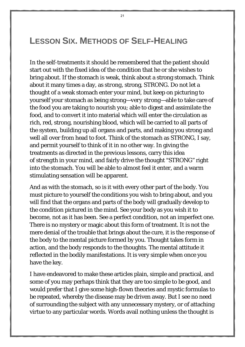#### <span id="page-24-0"></span>**LESSON SIX. METHODS OF SELF-HEALING**

In the self-treatments it should be remembered that the patient should start out with the fixed idea of the condition that he or she wishes to bring about. If the stomach is weak, think about a strong stomach. Think about it many times a day, as *strong,* strong, STRONG. Do not let a thought of a weak stomach enter your mind, but keep on picturing to yourself your stomach as being strong*—very strong*—able to take care of the food you are taking to nourish you; able to digest and assimilate the food, and to convert it into material which will enter the circulation as rich, red, strong, nourishing blood, which will be carried to all parts of the system, building up all organs and parts, and making you strong and well all over from head to foot. Think of the stomach as STRONG, I say, and permit yourself to think of it in no other way. In giving the treatments as directed in the previous lessons, carry this idea of *strength* in your mind, and fairly drive the thought "STRONG" right into the stomach. You will be able to almost feel it enter, and a warm stimulating sensation will be apparent.

And as with the stomach, so is it with every other part of the body. You must picture to yourself the conditions you wish to bring about, and you will find that the organs and parts of the body will gradually develop to the condition pictured in the mind. See your body as you wish it to become, not as it has been. See a perfect condition, not an imperfect one. There is no mystery or magic about this form of treatment. It is not the mere denial of the trouble that brings about the cure, it is the response of the body to the mental picture formed by you. Thought takes form in action, and the body responds to the thoughts. The mental attitude it reflected in the bodily manifestations. It is very simple when once you have the key.

I have endeavored to make these articles plain, simple and practical, and some of you may perhaps think that they are too simple to be good, and would prefer that I give some high-flown theories and mystic formulas to be repeated, whereby the disease may be driven away. But I see no need of surrounding the subject with any unnecessary mystery, or of attaching virtue to any particular words. Words avail nothing unless the thought is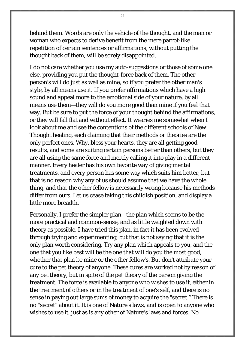behind them. Words are only the vehicle of the thought, and the man or woman who expects to derive benefit from the mere parrot-like repetition of certain sentences or affirmations, without putting the thought back of them, will be sorely disappointed.

I do not care whether you use my auto-suggestions or those of some one else, providing you put the thought-force back of them. The other person's will do just as well as mine, so if you prefer the other man's style, by all means use it. If you prefer affirmations which have a high sound and appeal more to the emotional side of your nature, by all means use them—they will do you more good than mine if you feel that way. But be sure to put the force of your thought behind the affirmations, or they will fall flat and without effect. It wearies me somewhat when I look about me and see the contentions of the different schools of New Thought healing, each claiming that *their* methods or theories are the only perfect ones. Why, bless your hearts, they are all getting good results, and some are suiting certain persons better than others, but they are all using the same force and merely calling it into play in a different manner. Every healer has his own favorite way of giving mental treatments, and every person has some way which suits him better, but that is no reason why any of us should assume that we have the whole thing, and that the other fellow is necessarily wrong because his methods differ from ours. Let us cease taking this childish position, and display a little more breadth.

Personally, I prefer the simpler plan—the plan which seems to be the more practical and common-sense, and as little weighted down with theory as possible. I have tried this plan, in fact it has been evolved through trying and experimenting, but that is not saying that it is the only plan worth considering. Try any plan which appeals to you, and the one that you like best will be the one that will do you the most good, whether that plan be mine or the other fellow's. But don't attribute your cure to the pet theory of anyone. These cures are worked not by reason of any pet theory, but in *spite* of the pet theory of the person giving the treatment. The force is available to anyone who wishes to use it, either in the treatment of others or in the treatment of one's self, and there is no sense in paying out large sums of money to acquire the "secret." There is no "secret" about it. It is one of Nature's laws, and is open to anyone who wishes to use it, just as is any other of Nature's laws and forces. No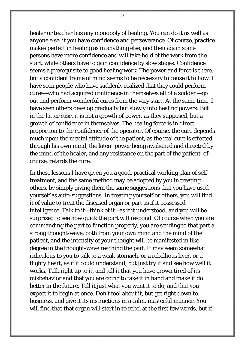healer or teacher has any monopoly of healing. You can do it as well as anyone else, if you have confidence and perseverance. Of course, practice makes perfect in healing as in anything else, and then again some persons have more confidence and will take hold of the work from the start, while others have to gain confidence by slow stages. Confidence seems a prerequisite to good healing work. The power and force is there, but a confident frame of mind seems to be necessary to cause it to flow. I have seen people who have suddenly realized that they could perform cures—who had acquired confidence in themselves all of a sudden—go out and perform wonderful cures from the very start. At the same time, I have seen others develop gradually but slowly into healing powers. But in the latter case, it is not a growth of power, as they supposed, but a growth of confidence in themselves. The healing force is in direct proportion to the confidence of the operator. Of course, the cure depends much upon the mental attitude of the patient, as the real cure is effected through his own mind, the latent power being awakened and directed by the mind of the healer, and any resistance on the part of the patient, of course, retards the cure.

In these lessons I have given you a good, practical working plan of selftreatment, and the same method may be adopted by you in treating others, by simply giving them the same suggestions that you have used yourself as auto-suggestions. In treating yourself or others, you will find it of value to treat the diseased organ or part as if it possessed intelligence. Talk to it—think of it—as if it understood, and you will be surprised to see how quick the part will respond. Of course when you are commanding the part to function properly, you are sending to that part a strong thought-wave, both from your own mind and the mind of the patient, and the intensity of your thought will be manifested in like degree in the thought-wave reaching the part. It may seem somewhat ridiculous to you to talk to a weak stomach, or a rebellious liver, or a flighty heart, as if it could understand, but just try it and see how well it works. Talk right up to it, and tell it that you have grown tired of its misbehavior and that you are going to take it in hand and make it do better in the future. Tell it just what you want it to do, and that you expect it to begin at once. Don't fool about it, but get right down to business, and give it its instructions in a calm, masterful manner. You will find that that organ will start in to rebel at the first few words, but if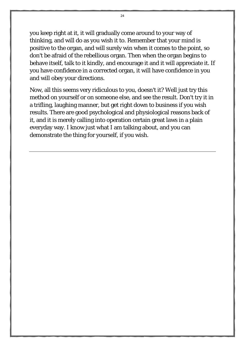you keep right at it, it will gradually come around to your way of thinking, and will do as you wish it to. Remember that your mind is positive to the organ, and will surely win when it comes to the point, so don't be afraid of the rebellious organ. Then when the organ begins to behave itself, talk to it kindly, and encourage it and it will appreciate it. If you have confidence in a corrected organ, it will have confidence in you and will obey your directions.

Now, all this seems very ridiculous to you, doesn't it? Well just try this method on yourself or on someone else, and see the result. Don't try it in a trifling, laughing manner, but get right down to business if you wish results. There are good psychological and physiological reasons back of it, and it is merely calling into operation certain great laws in a plain everyday way. I know just what I am talking about, and you can demonstrate the thing for yourself, if you wish.